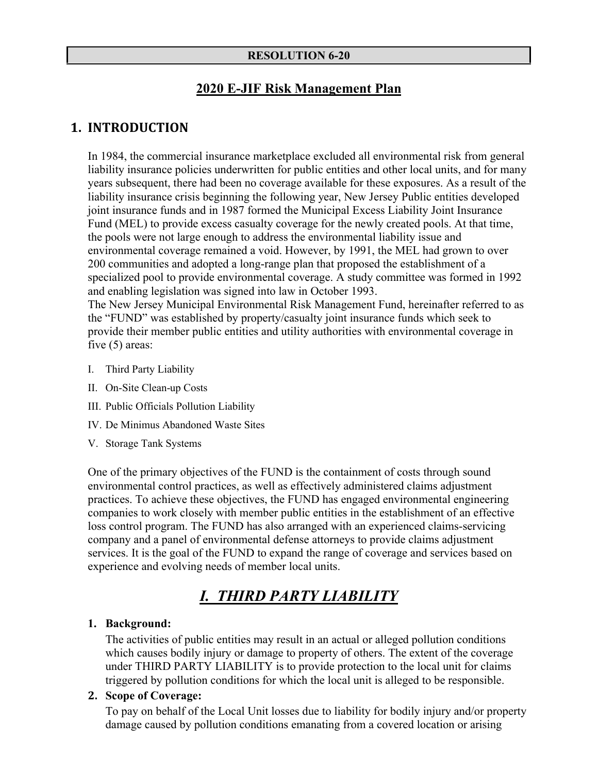#### **RESOLUTION 6-20**

#### **2020 E-JIF Risk Management Plan**

#### **1. INTRODUCTION**

In 1984, the commercial insurance marketplace excluded all environmental risk from general liability insurance policies underwritten for public entities and other local units, and for many years subsequent, there had been no coverage available for these exposures. As a result of the liability insurance crisis beginning the following year, New Jersey Public entities developed joint insurance funds and in 1987 formed the Municipal Excess Liability Joint Insurance Fund (MEL) to provide excess casualty coverage for the newly created pools. At that time, the pools were not large enough to address the environmental liability issue and environmental coverage remained a void. However, by 1991, the MEL had grown to over 200 communities and adopted a long-range plan that proposed the establishment of a specialized pool to provide environmental coverage. A study committee was formed in 1992 and enabling legislation was signed into law in October 1993.

The New Jersey Municipal Environmental Risk Management Fund, hereinafter referred to as the "FUND" was established by property/casualty joint insurance funds which seek to provide their member public entities and utility authorities with environmental coverage in five (5) areas:

- I. Third Party Liability
- II. On-Site Clean-up Costs
- III. Public Officials Pollution Liability
- IV. De Minimus Abandoned Waste Sites
- V. Storage Tank Systems

One of the primary objectives of the FUND is the containment of costs through sound environmental control practices, as well as effectively administered claims adjustment practices. To achieve these objectives, the FUND has engaged environmental engineering companies to work closely with member public entities in the establishment of an effective loss control program. The FUND has also arranged with an experienced claims-servicing company and a panel of environmental defense attorneys to provide claims adjustment services. It is the goal of the FUND to expand the range of coverage and services based on experience and evolving needs of member local units.

# *I. THIRD PARTY LIABILITY*

#### **1. Background:**

The activities of public entities may result in an actual or alleged pollution conditions which causes bodily injury or damage to property of others. The extent of the coverage under THIRD PARTY LIABILITY is to provide protection to the local unit for claims triggered by pollution conditions for which the local unit is alleged to be responsible.

#### **2. Scope of Coverage:**

To pay on behalf of the Local Unit losses due to liability for bodily injury and/or property damage caused by pollution conditions emanating from a covered location or arising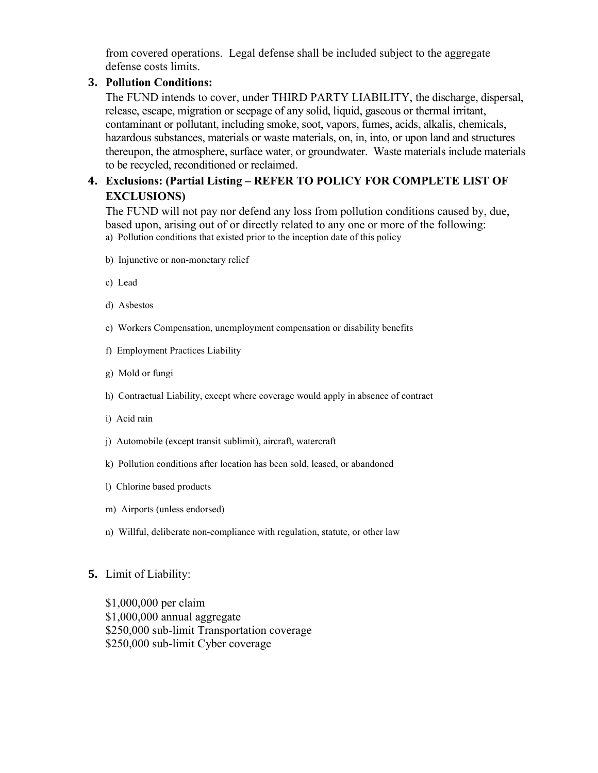from covered operations. Legal defense shall be included subject to the aggregate defense costs limits.

#### **3. Pollution Conditions:**

The FUND intends to cover, under THIRD PARTY LIABILITY, the discharge, dispersal, release, escape, migration or seepage of any solid, liquid, gaseous or thermal irritant, contaminant or pollutant, including smoke, soot, vapors, fumes, acids, alkalis, chemicals, hazardous substances, materials or waste materials, on, in, into, or upon land and structures thereupon, the atmosphere, surface water, or groundwater. Waste materials include materials to be recycled, reconditioned or reclaimed.

#### **4. Exclusions: (Partial Listing – REFER TO POLICY FOR COMPLETE LIST OF EXCLUSIONS)**

The FUND will not pay nor defend any loss from pollution conditions caused by, due, based upon, arising out of or directly related to any one or more of the following: a) Pollution conditions that existed prior to the inception date of this policy

- b) Injunctive or non-monetary relief
- c) Lead
- d) Asbestos
- e) Workers Compensation, unemployment compensation or disability benefits
- f) Employment Practices Liability
- g) Mold or fungi
- h) Contractual Liability, except where coverage would apply in absence of contract
- i) Acid rain
- j) Automobile (except transit sublimit), aircraft, watercraft
- k) Pollution conditions after location has been sold, leased, or abandoned
- l) Chlorine based products
- m) Airports (unless endorsed)
- n) Willful, deliberate non-compliance with regulation, statute, or other law

#### **5.** Limit of Liability:

\$1,000,000 per claim \$1,000,000 annual aggregate \$250,000 sub-limit Transportation coverage \$250,000 sub-limit Cyber coverage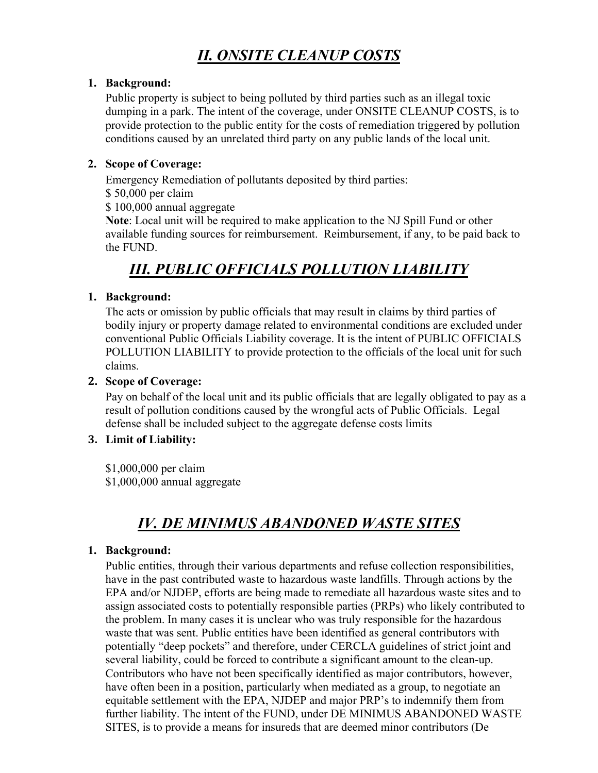# *II. ONSITE CLEANUP COSTS*

#### **1. Background:**

Public property is subject to being polluted by third parties such as an illegal toxic dumping in a park. The intent of the coverage, under ONSITE CLEANUP COSTS, is to provide protection to the public entity for the costs of remediation triggered by pollution conditions caused by an unrelated third party on any public lands of the local unit.

#### **2. Scope of Coverage:**

Emergency Remediation of pollutants deposited by third parties:

\$ 50,000 per claim

\$ 100,000 annual aggregate

**Note**: Local unit will be required to make application to the NJ Spill Fund or other available funding sources for reimbursement. Reimbursement, if any, to be paid back to the FUND.

# *III. PUBLIC OFFICIALS POLLUTION LIABILITY*

#### **1. Background:**

The acts or omission by public officials that may result in claims by third parties of bodily injury or property damage related to environmental conditions are excluded under conventional Public Officials Liability coverage. It is the intent of PUBLIC OFFICIALS POLLUTION LIABILITY to provide protection to the officials of the local unit for such claims.

#### **2. Scope of Coverage:**

Pay on behalf of the local unit and its public officials that are legally obligated to pay as a result of pollution conditions caused by the wrongful acts of Public Officials. Legal defense shall be included subject to the aggregate defense costs limits

#### **3. Limit of Liability:**

\$1,000,000 per claim \$1,000,000 annual aggregate

# *IV. DE MINIMUS ABANDONED WASTE SITES*

#### **1. Background:**

Public entities, through their various departments and refuse collection responsibilities, have in the past contributed waste to hazardous waste landfills. Through actions by the EPA and/or NJDEP, efforts are being made to remediate all hazardous waste sites and to assign associated costs to potentially responsible parties (PRPs) who likely contributed to the problem. In many cases it is unclear who was truly responsible for the hazardous waste that was sent. Public entities have been identified as general contributors with potentially "deep pockets" and therefore, under CERCLA guidelines of strict joint and several liability, could be forced to contribute a significant amount to the clean-up. Contributors who have not been specifically identified as major contributors, however, have often been in a position, particularly when mediated as a group, to negotiate an equitable settlement with the EPA, NJDEP and major PRP's to indemnify them from further liability. The intent of the FUND, under DE MINIMUS ABANDONED WASTE SITES, is to provide a means for insureds that are deemed minor contributors (De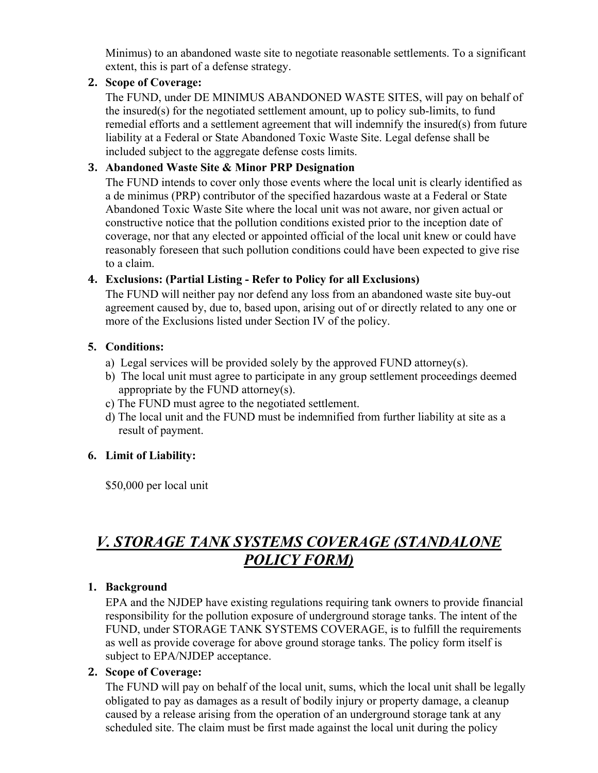Minimus) to an abandoned waste site to negotiate reasonable settlements. To a significant extent, this is part of a defense strategy.

#### **2. Scope of Coverage:**

The FUND, under DE MINIMUS ABANDONED WASTE SITES, will pay on behalf of the insured(s) for the negotiated settlement amount, up to policy sub-limits, to fund remedial efforts and a settlement agreement that will indemnify the insured(s) from future liability at a Federal or State Abandoned Toxic Waste Site. Legal defense shall be included subject to the aggregate defense costs limits.

#### **3. Abandoned Waste Site & Minor PRP Designation**

The FUND intends to cover only those events where the local unit is clearly identified as a de minimus (PRP) contributor of the specified hazardous waste at a Federal or State Abandoned Toxic Waste Site where the local unit was not aware, nor given actual or constructive notice that the pollution conditions existed prior to the inception date of coverage, nor that any elected or appointed official of the local unit knew or could have reasonably foreseen that such pollution conditions could have been expected to give rise to a claim.

#### **4. Exclusions: (Partial Listing - Refer to Policy for all Exclusions)**

The FUND will neither pay nor defend any loss from an abandoned waste site buy-out agreement caused by, due to, based upon, arising out of or directly related to any one or more of the Exclusions listed under Section IV of the policy.

#### **5. Conditions:**

- a) Legal services will be provided solely by the approved FUND attorney(s).
- b) The local unit must agree to participate in any group settlement proceedings deemed appropriate by the FUND attorney(s).
- c) The FUND must agree to the negotiated settlement.
- d) The local unit and the FUND must be indemnified from further liability at site as a result of payment.

#### **6. Limit of Liability:**

\$50,000 per local unit

# *V. STORAGE TANK SYSTEMS COVERAGE (STANDALONE POLICY FORM)*

#### **1. Background**

EPA and the NJDEP have existing regulations requiring tank owners to provide financial responsibility for the pollution exposure of underground storage tanks. The intent of the FUND, under STORAGE TANK SYSTEMS COVERAGE, is to fulfill the requirements as well as provide coverage for above ground storage tanks. The policy form itself is subject to EPA/NJDEP acceptance.

#### **2. Scope of Coverage:**

The FUND will pay on behalf of the local unit, sums, which the local unit shall be legally obligated to pay as damages as a result of bodily injury or property damage, a cleanup caused by a release arising from the operation of an underground storage tank at any scheduled site. The claim must be first made against the local unit during the policy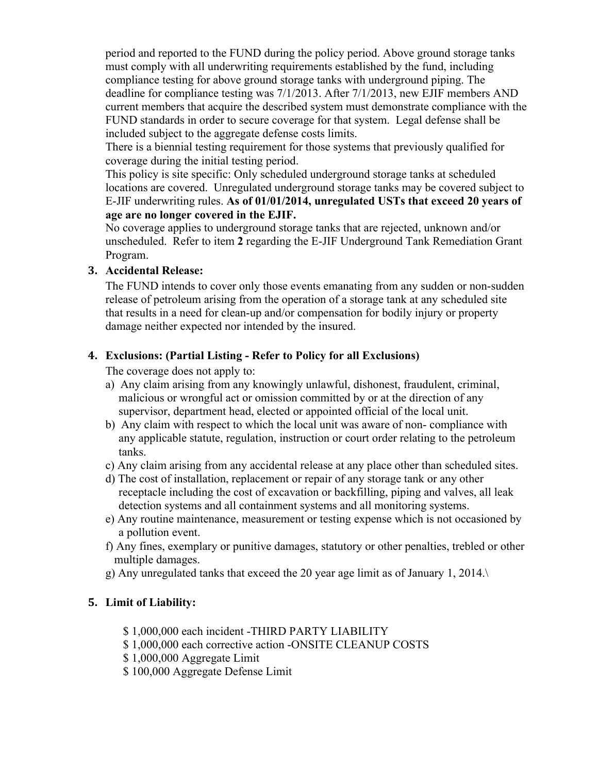period and reported to the FUND during the policy period. Above ground storage tanks must comply with all underwriting requirements established by the fund, including compliance testing for above ground storage tanks with underground piping. The deadline for compliance testing was 7/1/2013. After 7/1/2013, new EJIF members AND current members that acquire the described system must demonstrate compliance with the FUND standards in order to secure coverage for that system. Legal defense shall be included subject to the aggregate defense costs limits.

There is a biennial testing requirement for those systems that previously qualified for coverage during the initial testing period.

This policy is site specific: Only scheduled underground storage tanks at scheduled locations are covered. Unregulated underground storage tanks may be covered subject to E-JIF underwriting rules. **As of 01/01/2014, unregulated USTs that exceed 20 years of age are no longer covered in the EJIF.**

No coverage applies to underground storage tanks that are rejected, unknown and/or unscheduled. Refer to item **2** regarding the E-JIF Underground Tank Remediation Grant Program.

#### **3. Accidental Release:**

The FUND intends to cover only those events emanating from any sudden or non-sudden release of petroleum arising from the operation of a storage tank at any scheduled site that results in a need for clean-up and/or compensation for bodily injury or property damage neither expected nor intended by the insured.

#### **4. Exclusions: (Partial Listing - Refer to Policy for all Exclusions)**

The coverage does not apply to:

- a) Any claim arising from any knowingly unlawful, dishonest, fraudulent, criminal, malicious or wrongful act or omission committed by or at the direction of any supervisor, department head, elected or appointed official of the local unit.
- b) Any claim with respect to which the local unit was aware of non- compliance with any applicable statute, regulation, instruction or court order relating to the petroleum tanks.
- c) Any claim arising from any accidental release at any place other than scheduled sites.
- d) The cost of installation, replacement or repair of any storage tank or any other receptacle including the cost of excavation or backfilling, piping and valves, all leak detection systems and all containment systems and all monitoring systems.
- e) Any routine maintenance, measurement or testing expense which is not occasioned by a pollution event.
- f) Any fines, exemplary or punitive damages, statutory or other penalties, trebled or other multiple damages.
- g) Any unregulated tanks that exceed the 20 year age limit as of January 1, 2014.\

#### **5. Limit of Liability:**

- \$ 1,000,000 each incident -THIRD PARTY LIABILITY
- \$ 1,000,000 each corrective action -ONSITE CLEANUP COSTS
- \$ 1,000,000 Aggregate Limit
- \$ 100,000 Aggregate Defense Limit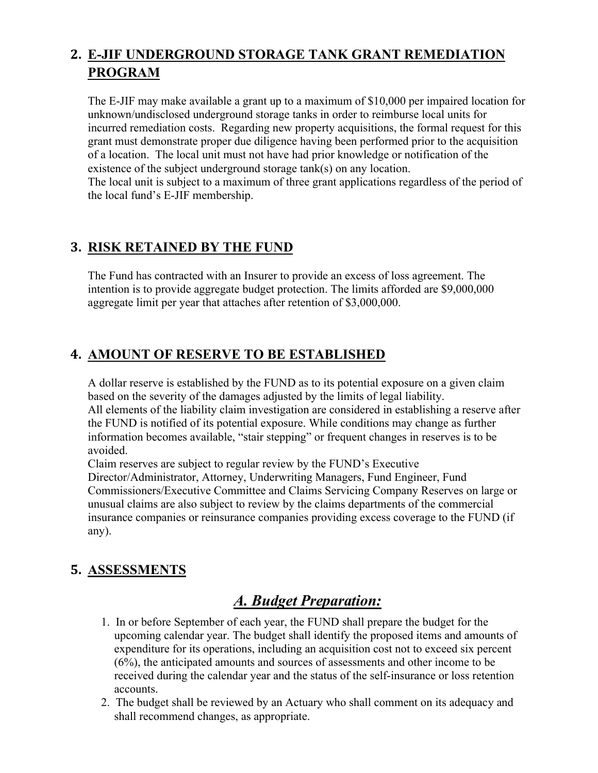## **2. E-JIF UNDERGROUND STORAGE TANK GRANT REMEDIATION PROGRAM**

The E-JIF may make available a grant up to a maximum of \$10,000 per impaired location for unknown/undisclosed underground storage tanks in order to reimburse local units for incurred remediation costs. Regarding new property acquisitions, the formal request for this grant must demonstrate proper due diligence having been performed prior to the acquisition of a location. The local unit must not have had prior knowledge or notification of the existence of the subject underground storage tank(s) on any location.

The local unit is subject to a maximum of three grant applications regardless of the period of the local fund's E-JIF membership.

### **3. RISK RETAINED BY THE FUND**

The Fund has contracted with an Insurer to provide an excess of loss agreement. The intention is to provide aggregate budget protection. The limits afforded are \$9,000,000 aggregate limit per year that attaches after retention of \$3,000,000.

### **4. AMOUNT OF RESERVE TO BE ESTABLISHED**

A dollar reserve is established by the FUND as to its potential exposure on a given claim based on the severity of the damages adjusted by the limits of legal liability. All elements of the liability claim investigation are considered in establishing a reserve after the FUND is notified of its potential exposure. While conditions may change as further information becomes available, "stair stepping" or frequent changes in reserves is to be avoided.

Claim reserves are subject to regular review by the FUND's Executive Director/Administrator, Attorney, Underwriting Managers, Fund Engineer, Fund Commissioners/Executive Committee and Claims Servicing Company Reserves on large or unusual claims are also subject to review by the claims departments of the commercial insurance companies or reinsurance companies providing excess coverage to the FUND (if any).

## **5. ASSESSMENTS**

# *A. Budget Preparation:*

- 1. In or before September of each year, the FUND shall prepare the budget for the upcoming calendar year. The budget shall identify the proposed items and amounts of expenditure for its operations, including an acquisition cost not to exceed six percent (6%), the anticipated amounts and sources of assessments and other income to be received during the calendar year and the status of the self-insurance or loss retention accounts.
- 2. The budget shall be reviewed by an Actuary who shall comment on its adequacy and shall recommend changes, as appropriate.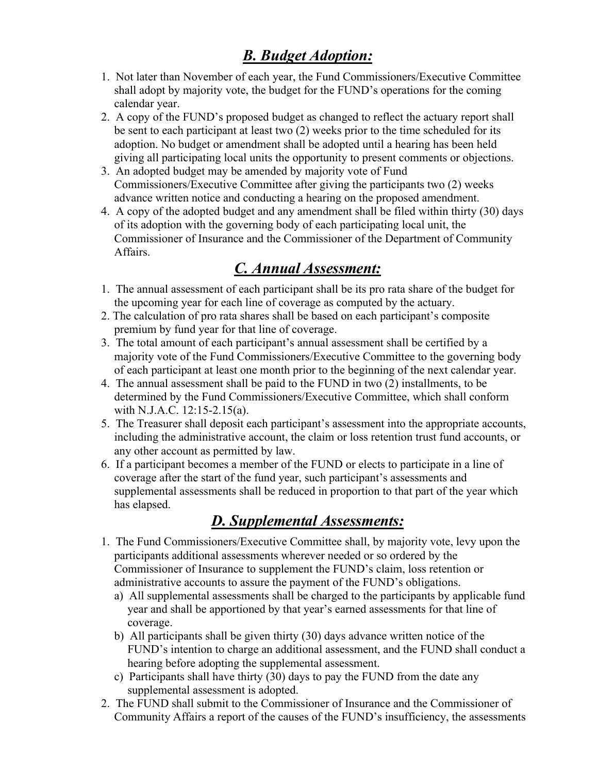# *B. Budget Adoption:*

- 1. Not later than November of each year, the Fund Commissioners/Executive Committee shall adopt by majority vote, the budget for the FUND's operations for the coming calendar year.
- 2. A copy of the FUND's proposed budget as changed to reflect the actuary report shall be sent to each participant at least two (2) weeks prior to the time scheduled for its adoption. No budget or amendment shall be adopted until a hearing has been held giving all participating local units the opportunity to present comments or objections.
- 3. An adopted budget may be amended by majority vote of Fund Commissioners/Executive Committee after giving the participants two (2) weeks advance written notice and conducting a hearing on the proposed amendment.
- 4. A copy of the adopted budget and any amendment shall be filed within thirty (30) days of its adoption with the governing body of each participating local unit, the Commissioner of Insurance and the Commissioner of the Department of Community Affairs.

# *C. Annual Assessment:*

- 1. The annual assessment of each participant shall be its pro rata share of the budget for the upcoming year for each line of coverage as computed by the actuary.
- 2. The calculation of pro rata shares shall be based on each participant's composite premium by fund year for that line of coverage.
- 3. The total amount of each participant's annual assessment shall be certified by a majority vote of the Fund Commissioners/Executive Committee to the governing body of each participant at least one month prior to the beginning of the next calendar year.
- 4. The annual assessment shall be paid to the FUND in two (2) installments, to be determined by the Fund Commissioners/Executive Committee, which shall conform with N.J.A.C. 12:15-2.15(a).
- 5. The Treasurer shall deposit each participant's assessment into the appropriate accounts, including the administrative account, the claim or loss retention trust fund accounts, or any other account as permitted by law.
- 6. If a participant becomes a member of the FUND or elects to participate in a line of coverage after the start of the fund year, such participant's assessments and supplemental assessments shall be reduced in proportion to that part of the year which has elapsed.

# *D. Supplemental Assessments:*

- 1. The Fund Commissioners/Executive Committee shall, by majority vote, levy upon the participants additional assessments wherever needed or so ordered by the Commissioner of Insurance to supplement the FUND's claim, loss retention or administrative accounts to assure the payment of the FUND's obligations.
	- a) All supplemental assessments shall be charged to the participants by applicable fund year and shall be apportioned by that year's earned assessments for that line of coverage.
	- b) All participants shall be given thirty (30) days advance written notice of the FUND's intention to charge an additional assessment, and the FUND shall conduct a hearing before adopting the supplemental assessment.
	- c) Participants shall have thirty (30) days to pay the FUND from the date any supplemental assessment is adopted.
- 2. The FUND shall submit to the Commissioner of Insurance and the Commissioner of Community Affairs a report of the causes of the FUND's insufficiency, the assessments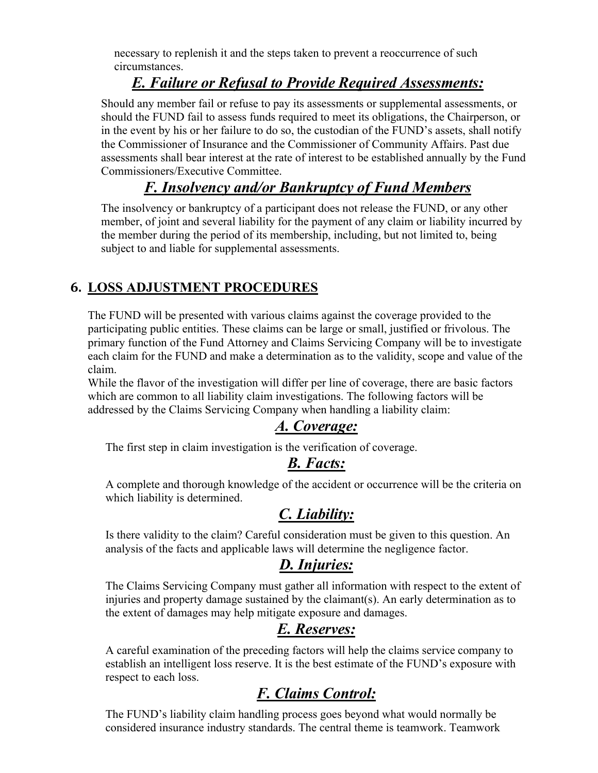necessary to replenish it and the steps taken to prevent a reoccurrence of such circumstances.

# *E. Failure or Refusal to Provide Required Assessments:*

Should any member fail or refuse to pay its assessments or supplemental assessments, or should the FUND fail to assess funds required to meet its obligations, the Chairperson, or in the event by his or her failure to do so, the custodian of the FUND's assets, shall notify the Commissioner of Insurance and the Commissioner of Community Affairs. Past due assessments shall bear interest at the rate of interest to be established annually by the Fund Commissioners/Executive Committee.

## *F. Insolvency and/or Bankruptcy of Fund Members*

The insolvency or bankruptcy of a participant does not release the FUND, or any other member, of joint and several liability for the payment of any claim or liability incurred by the member during the period of its membership, including, but not limited to, being subject to and liable for supplemental assessments.

### **6. LOSS ADJUSTMENT PROCEDURES**

The FUND will be presented with various claims against the coverage provided to the participating public entities. These claims can be large or small, justified or frivolous. The primary function of the Fund Attorney and Claims Servicing Company will be to investigate each claim for the FUND and make a determination as to the validity, scope and value of the claim.

While the flavor of the investigation will differ per line of coverage, there are basic factors which are common to all liability claim investigations. The following factors will be addressed by the Claims Servicing Company when handling a liability claim:

## *A. Coverage:*

The first step in claim investigation is the verification of coverage.

### *B. Facts:*

A complete and thorough knowledge of the accident or occurrence will be the criteria on which liability is determined.

## *C. Liability:*

Is there validity to the claim? Careful consideration must be given to this question. An analysis of the facts and applicable laws will determine the negligence factor.

# *D. Injuries:*

The Claims Servicing Company must gather all information with respect to the extent of injuries and property damage sustained by the claimant(s). An early determination as to the extent of damages may help mitigate exposure and damages.

# *E. Reserves:*

A careful examination of the preceding factors will help the claims service company to establish an intelligent loss reserve. It is the best estimate of the FUND's exposure with respect to each loss.

# *F. Claims Control:*

The FUND's liability claim handling process goes beyond what would normally be considered insurance industry standards. The central theme is teamwork. Teamwork